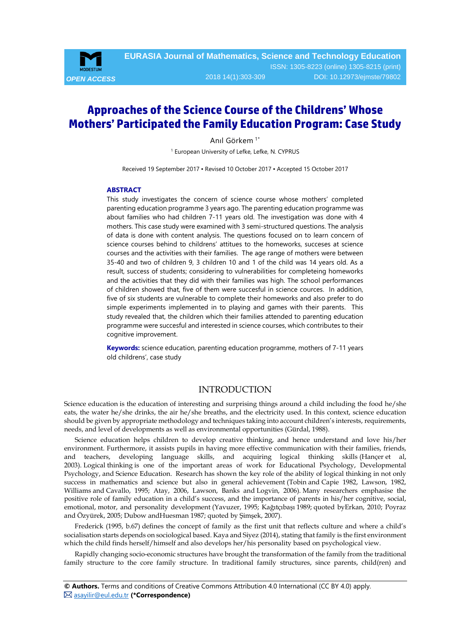

# **Approaches of the Science Course of the Childrens' Whose Mothers' Participated the Family Education Program: Case Study**

Anıl Görkem 1\*

<sup>1</sup> European University of Lefke, Lefke, N. CYPRUS

Received 19 September 2017 ▪ Revised 10 October 2017 ▪ Accepted 15 October 2017

#### <span id="page-0-0"></span>**ABSTRACT**

This study investigates the concern of science course whose mothers' completed parenting education programme 3 years ago. The parenting education programme was about families who had children 7-11 years old. The investigation was done with 4 mothers. This case study were examined with 3 semi-structured questions. The analysis of data is done with content analysis. The questions focused on to learn concern of science courses behind to childrens' attitues to the homeworks, succeses at science courses and the activities with their families. The age range of mothers were between 35-40 and two of children 9, 3 children 10 and 1 of the child was 14 years old. As a result, success of students; considering to vulnerabilities for completeing homeworks and the activities that they did with their families was high. The school performances of children showed that, five of them were succesful in science cources. In addition, five of six students are vulnerable to complete their homeworks and also prefer to do simple experiments implemented in to playing and games with their parents. This study revealed that, the children which their families attended to parenting education programme were succesful and interested in science courses, which contributes to their cognitive improvement.

**Keywords:** science education, parenting education programme, mothers of 7-11 years old childrens', case study

# INTRODUCTION

Science education is the education of interesting and surprising things around a child including the food he/she eats, the water he/she drinks, the air he/she breaths, and the electricity used. In this context, science education should be given by appropriate methodology and techniques taking into account children's interests, requirements, needs, and level of developments as well as environmental opportunities (Gürdal, 1988).

Science education helps children to develop creative thinking, and hence understand and love his/her environment. Furthermore, it assists pupils in having more effective communication with their families, friends, and teachers, developing language skills, and acquiring logical thinking skills (Hançer et al, 2003). Logical thinking is one of the important areas of work for Educational Psychology, Developmental Psychology, and Science Education. Research has shown the key role of the ability of logical thinking in not only success in mathematics and science but also in general achievement (Tobin and Capie 1982, Lawson, 1982, Williams and Cavallo, 1995; Atay, 2006, Lawson, Banks and Logvin, 2006). Many researchers emphasise the positive role of family education in a child's success, and the importance of parents in his/her cognitive, social, emotional, motor, and personality development (Yavuzer, 1995; Kağıtçıbaşı 1989; quoted byErkan, 2010; Poyraz and Özyürek, 2005; Dubow andHuesman 1987; quoted by Şimşek, 2007).

Frederick (1995, b.67) defines the concept of family as the first unit that reflects culture and where a child's socialisation starts depends on sociological based. Kaya and Siyez (2014), stating that family is the first environment which the child finds herself/himself and also develops her/his personality based on psychological view.

Rapidly changing socio-economic structures have brought the transformation of the family from the traditional family structure to the core family structure. In traditional family structures, since parents, child(ren) and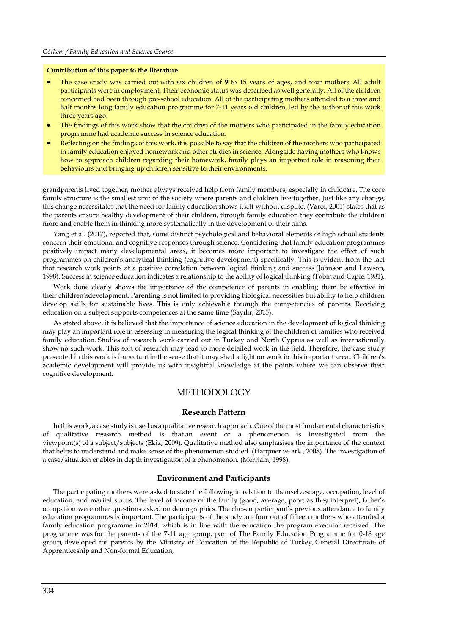#### **Contribution of this paper to the literature**

- The case study was carried out with six children of 9 to 15 years of ages, and four mothers. All adult participants were in employment. Their economic status was described as well generally. All of the children concerned had been through pre-school education. All of the participating mothers attended to a three and half months long family education programme for 7-11 years old children, led by the author of this work three years ago.
- The findings of this work show that the children of the mothers who participated in the family education programme had academic success in science education.
- Reflecting on the findings of this work, it is possible to say that the children of the mothers who participated in family education enjoyed homework and other studies in science. Alongside having mothers who knows how to approach children regarding their homework, family plays an important role in reasoning their behaviours and bringing up children sensitive to their environments.

grandparents lived together, mother always received help from family members, especially in childcare. The core family structure is the smallest unit of the society where parents and children live together. Just like any change, this change necessitates that the need for family education shows itself without dispute. (Varol, 2005) states that as the parents ensure healthy development of their children, through family education they contribute the children more and enable them in thinking more systematically in the development of their aims.

Yang et al. (2017), reported that, some distinct psychological and behavioral elements of high school students concern their emotional and cognitive responses through science. Considering that family education programmes positively impact many developmental areas, it becomes more important to investigate the effect of such programmes on children's analytical thinking (cognitive development) specifically. This is evident from the fact that research work points at a positive correlation between logical thinking and success (Johnson and Lawson, 1998). Success in science education indicates a relationship to the ability of logical thinking (Tobin and Capie, 1981).

Work done clearly shows the importance of the competence of parents in enabling them be effective in their children'sdevelopment. Parenting is not limited to providing biological necessities but ability to help children develop skills for sustainable lives. This is only achievable through the competencies of parents. Receiving education on a subject supports competences at the same time (Sayılır, 2015).

As stated above, it is believed that the importance of science education in the development of logical thinking may play an important role in assessing in measuring the logical thinking of the children of families who received family education. Studies of research work carried out in Turkey and North Cyprus as well as internationally show no such work. This sort of research may lead to more detailed work in the field. Therefore, the case study presented in this work is important in the sense that it may shed a light on work in this important area.. Children's academic development will provide us with insightful knowledge at the points where we can observe their cognitive development.

## **METHODOLOGY**

#### **Research Pattern**

In this work, a case study is used as a qualitative research approach. One of the most fundamental characteristics of qualitative research method is that an event or a phenomenon is investigated from the viewpoint(s) of a subject/subjects (Ekiz, 2009). Qualitative method also emphasises the importance of the context that helps to understand and make sense of the phenomenon studied. (Happner ve ark., 2008). The investigation of a case/situation enables in depth investigation of a phenomenon. (Merriam, 1998).

#### **Environment and Participants**

The participating mothers were asked to state the following in relation to themselves: age, occupation, level of education, and marital status. The level of income of the family (good, average, poor; as they interpret), father's occupation were other questions asked on demographics. The chosen participant's previous attendance to family education programmes is important. The participants of the study are four out of fifteen mothers who attended a family education programme in 2014, which is in line with the education the program executor received. The programme was for the parents of the 7-11 age group, part of The Family Education Programme for 0-18 age group, developed for parents by the Ministry of Education of the Republic of Turkey, General Directorate of Apprenticeship and Non-formal Education,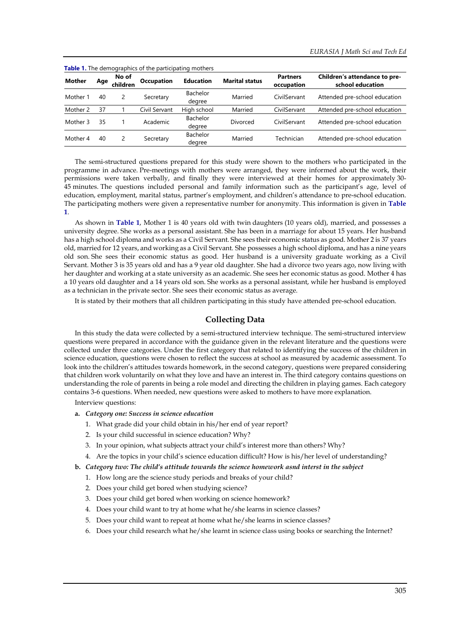| <b>Table 1.</b> The demographics of the participating mothers |     |                   |                   |                    |                       |                               |                                                   |  |  |  |  |
|---------------------------------------------------------------|-----|-------------------|-------------------|--------------------|-----------------------|-------------------------------|---------------------------------------------------|--|--|--|--|
| <b>Mother</b>                                                 | Age | No of<br>children | <b>Occupation</b> | <b>Education</b>   | <b>Marital status</b> | <b>Partners</b><br>occupation | Children's attendance to pre-<br>school education |  |  |  |  |
| Mother 1                                                      | 40  |                   | Secretary         | Bachelor<br>degree | Married               | CivilServant                  | Attended pre-school education                     |  |  |  |  |
| Mother 2                                                      | 37  |                   | Civil Servant     | High school        | Married               | CivilServant                  | Attended pre-school education                     |  |  |  |  |
| Mother 3                                                      | 35  |                   | Academic          | Bachelor<br>degree | Divorced              | CivilServant                  | Attended pre-school education                     |  |  |  |  |
| Mother 4                                                      | 40  |                   | Secretary         | Bachelor<br>degree | Married               | Technician                    | Attended pre-school education                     |  |  |  |  |

**Table 1.** The demographics of the participating mothers

The semi-structured questions prepared for this study were shown to the mothers who participated in the programme in advance. Pre-meetings with mothers were arranged, they were informed about the work, their permissions were taken verbally, and finally they were interviewed at their homes for approximately 30- 45 minutes. The questions included personal and family information such as the participant's age, level of education, employment, marital status, partner's employment, and children's attendance to pre-school education. The participating mothers were given a representative number for anonymity. This information is given in **Table 1**.

As shown in **Table 1**, Mother 1 is 40 years old with twin daughters (10 years old), married, and possesses a university degree. She works as a personal assistant. She has been in a marriage for about 15 years. Her husband has a high school diploma and works as a Civil Servant. She sees their economic status as good. Mother 2 is 37 years old, married for 12 years, and working as a Civil Servant. She possesses a high school diploma, and has a nine years old son. She sees their economic status as good. Her husband is a university graduate working as a Civil Servant. Mother 3 is 35 years old and has a 9 year old daughter. She had a divorce two years ago, now living with her daughter and working at a state university as an academic. She sees her economic status as good. Mother 4 has a 10 years old daughter and a 14 years old son. She works as a personal assistant, while her husband is employed as a technician in the private sector. She sees their economic status as average.

It is stated by their mothers that all children participating in this study have attended pre-school education.

## **Collecting Data**

In this study the data were collected by a semi-structured interview technique. The semi-structured interview questions were prepared in accordance with the guidance given in the relevant literature and the questions were collected under three categories. Under the first category that related to identifying the success of the children in science education, questions were chosen to reflect the success at school as measured by academic assessment. To look into the children's attitudes towards homework, in the second category, questions were prepared considering that children work voluntarily on what they love and have an interest in. The third category contains questions on understanding the role of parents in being a role model and directing the children in playing games. Each category contains 3-6 questions. When needed, new questions were asked to mothers to have more explanation.

Interview questions:

- **a.** *Category one: Success in science education*
	- 1. What grade did your child obtain in his/her end of year report?
	- 2. Is your child successful in science education? Why?
	- 3. In your opinion, what subjects attract your child's interest more than others? Why?
	- 4. Are the topics in your child's science education difficult? How is his/her level of understanding?
- **b.** *Category two: The child's attitude towards the science homework asnd interst in the subject*
	- 1. How long are the science study periods and breaks of your child?
	- 2. Does your child get bored when studying science?
	- 3. Does your child get bored when working on science homework?
	- 4. Does your child want to try at home what he/she learns in science classes?
	- 5. Does your child want to repeat at home what he/she learns in science classes?
	- 6. Does your child research what he/she learnt in science class using books or searching the Internet?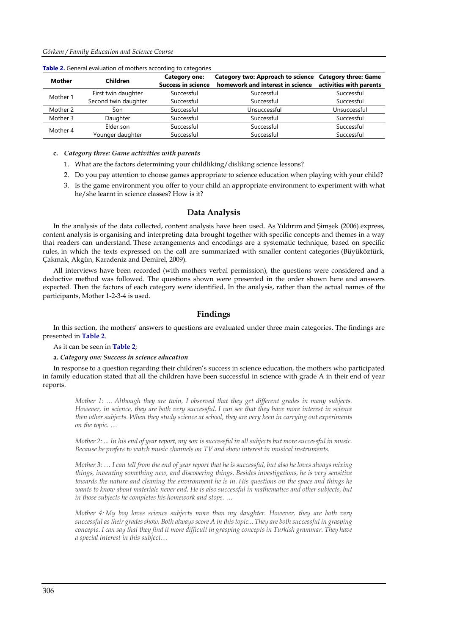| <b>Mother</b> | Children             | Category one:<br><b>Success in science</b> | Category two: Approach to science Category three: Game<br>homework and interest in science | activities with parents |
|---------------|----------------------|--------------------------------------------|--------------------------------------------------------------------------------------------|-------------------------|
| Mother 1      | First twin daughter  | Successful                                 | Successful                                                                                 | Successful              |
|               | Second twin daughter | Successful                                 | Successful                                                                                 | Successful              |
| Mother 2      | Son                  | Successful                                 | Unsuccessful                                                                               | Unsuccessful            |
| Mother 3      | Daughter             | Successful                                 | Successful                                                                                 | Successful              |
| Mother 4      | Elder son            | Successful                                 | Successful                                                                                 | Successful              |
|               | Younger daughter     | Successful                                 | Successful                                                                                 | Successful              |

**Table 2.** General evaluation of mothers according to categories

**c.** *Category three: Game activities with parents*

- 1. What are the factors determining your childliking/disliking science lessons?
- 2. Do you pay attention to choose games appropriate to science education when playing with your child?
- 3. Is the game environment you offer to your child an appropriate environment to experiment with what he/she learnt in science classes? How is it?

#### **Data Analysis**

In the analysis of the data collected, content analysis have been used. As Yıldırım and Şimşek (2006) express, content analysis is organising and interpreting data brought together with specific concepts and themes in a way that readers can understand. These arrangements and encodings are a systematic technique, based on specific rules, in which the texts expressed on the call are summarized with smaller content categories (Büyüköztürk, Çakmak, Akgün, Karadeniz and Demirel, 2009).

All interviews have been recorded (with mothers verbal permission), the questions were considered and a deductive method was followed. The questions shown were presented in the order shown here and answers expected. Then the factors of each category were identified. In the analysis, rather than the actual names of the participants, Mother 1-2-3-4 is used.

#### **Findings**

In this section, the mothers' answers to questions are evaluated under three main categories. The findings are presented in **Table 2**.

As it can be seen in **Table 2**;

**a.** *Category one: Success in science education*

In response to a question regarding their children's success in science education, the mothers who participated in family education stated that all the children have been successful in science with grade A in their end of year reports.

*Mother 1: … Although they are twin, I observed that they get different grades in many subjects. However, in science, they are both very successful. I can see that they have more interest in science then other subjects. When they study science at school, they are very keen in carrying out experiments on the topic. …*

*Mother 2: ... In his end of year report, my son is successful in all subjects but more successful in music. Because he prefers to watch music channels on TV and show interest in musical instruments.* 

*Mother 3: … I can tell from the end of year report that he is successful, but also he loves always mixing things, inventing something new, and discovering things. Besides investigations, he is very sensitive towards the nature and cleaning the environment he is in. His questions on the space and things he wants to know about materials never end. He is also successful in mathematics and other subjects, but in those subjects he completes his homework and stops. …*

*Mother 4: My boy loves science subjects more than my daughter. However, they are both very successful as their grades show. Both always score A in this topic... They are both successful in grasping concepts. I can say that they find it more difficult in grasping concepts in Turkish grammar. They have a special interest in this subject…*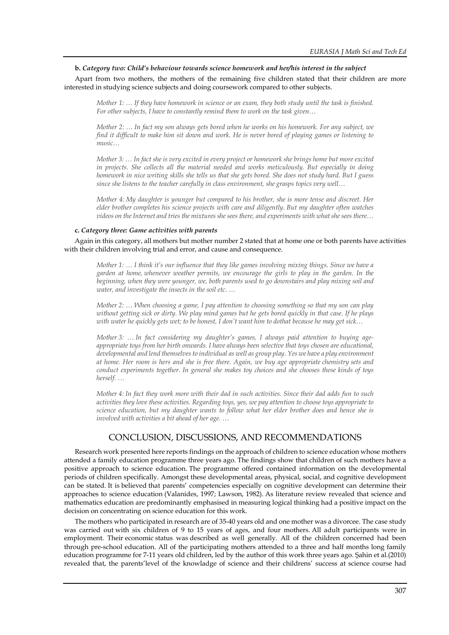#### **b.** *Category two: Child's behaviour towards science homework and her/his interest in the subject*

Apart from two mothers, the mothers of the remaining five children stated that their children are more interested in studying science subjects and doing coursework compared to other subjects.

*Mother 1: … If they have homework in science or an exam, they both study until the task is finished. For other subjects, I have to constantly remind them to work on the task given…*

*Mother 2: … In fact my son always gets bored when he works on his homework. For any subject, we find it difficult to make him sit down and work. He is never bored of playing games or listening to music…*

*Mother 3: … In fact she is very excited in every project or homework she brings home but more excited in projects. She collects all the material needed and works meticulously. But especially in doing homework in nice writing skills she tells us that she gets bored. She does not study hard. But I guess since she listens to the teacher carefully in class environment, she grasps topics very well…*

*Mother 4: My daughter is younger but compared to his brother, she is more tense and discreet. Her elder brother completes his science projects with care and diligently. But my daughter often watches videos on the Internet and tries the mixtures she sees there, and experiments with what she sees there…*

#### **c.** *Category three: Game activities with parents*

Again in this category, all mothers but mother number 2 stated that at home one or both parents have activities with their children involving trial and error, and cause and consequence.

*Mother 1: … I think it's our influence that they like games involving mixing things. Since we have a garden at home, whenever weather permits, we encourage the girls to play in the garden. In the beginning, when they were younger, we, both parents used to go downstairs and play mixing soil and water, and investigate the insects in the soil etc. …*

*Mother 2: … When choosing a game, I pay attention to choosing something so that my son can play without getting sick or dirty. We play mind games but he gets bored quickly in that case. If he plays with water he quickly gets wet; to be honest, I don't want him to dothat because he may get sick…*

*Mother 3: … In fact considering my daughter's games, I always paid attention to buying ageappropriate toys from her birth onwards. I have always been selective that toys chosen are educational, developmental and lend themselves to individual as well as group play. Yes we have a play environment at home. Her room is hers and she is free there. Again, we buy age appropriate chemistry sets and conduct experiments together. In general she makes toy choices and she chooses these kinds of toys herself. …*

*Mother 4: In fact they work more with their dad in such activities. Since their dad adds fun to such activities they love these activities. Regarding toys, yes, we pay attention to choose toys appropriate to science education, but my daughter wants to follow what her elder brother does and hence she is involved with activities a bit ahead of her age. …*

# CONCLUSION, DISCUSSIONS, AND RECOMMENDATIONS

Research work presented here reports findings on the approach of children to science education whose mothers attended a family education programme three years ago. The findings show that children of such mothers have a positive approach to science education. The programme offered contained information on the developmental periods of children specifically. Amongst these developmental areas, physical, social, and cognitive development can be stated. It is believed that parents' competencies especially on cognitive development can determine their approaches to science education (Valanides, 1997; Lawson, 1982). As literature review revealed that science and mathematics education are predominantly emphasised in measuring logical thinking had a positive impact on the decision on concentrating on science education for this work.

The mothers who participated in research are of 35-40 years old and one mother was a divorcee. The case study was carried out with six children of 9 to 15 years of ages, and four mothers. All adult participants were in employment. Their economic status was described as well generally. All of the children concerned had been through pre-school education. All of the participating mothers attended to a three and half months long family education programme for 7-11 years old children, led by the author of this work three years ago. Şahin et al.(2010) revealed that, the parents'level of the knowladge of science and their childrens' success at science course had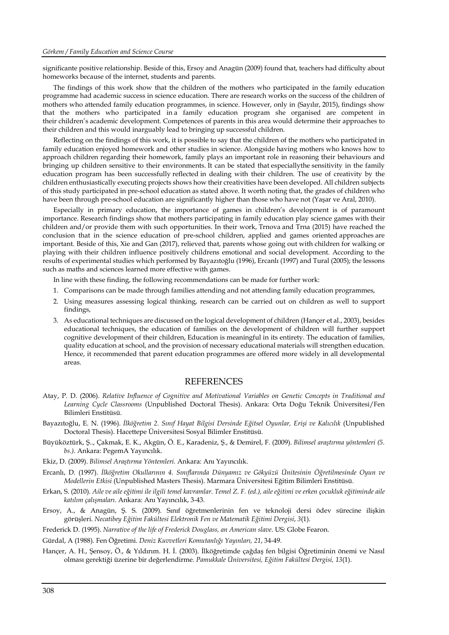significante positive relationship. Beside of this, Ersoy and Anagün (2009) found that, teachers had difficulty about homeworks because of the internet, students and parents.

The findings of this work show that the children of the mothers who participated in the family education programme had academic success in science education. There are research works on the success of the children of mothers who attended family education programmes, in science. However, only in (Sayılır, 2015), findings show that the mothers who participated in a family education program she organised are competent in their children's academic development. Competences of parents in this area would determine their approaches to their children and this would inarguably lead to bringing up successful children.

Reflecting on the findings of this work, it is possible to say that the children of the mothers who participated in family education enjoyed homework and other studies in science. Alongside having mothers who knows how to approach children regarding their homework, family plays an important role in reasoning their behaviours and bringing up children sensitive to their environments. It can be stated that especiallythe sensitivity in the family education program has been successfully reflected in dealing with their children. The use of creativity by the children enthusiastically executing projects shows how their creativities have been developed. All children subjects of this study participated in pre-school education as stated above. It worth noting that, the grades of children who have been through pre-school education are significantly higher than those who have not (Yaşar ve Aral, 2010).

Especially in primary education, the importance of games in children's development is of paramount importance. Research findings show that mothers participating in family education play science games with their children and/or provide them with such opportunities. In their work, Trnova and Trna (2015) have reached the conclusion that in the science education of pre-school children, applied and games oriented approaches are important. Beside of this, Xie and Gan (2017), relieved that, parents whose going out with children for walking or playing with their children influence positively childrens emotional and social development. According to the results of experimental studies which performed by Bayazıtoğlu (1996), Ercanlı (1997) and Tural (2005); the lessons such as maths and sciences learned more effective with games.

In line with these finding, the following recommendations can be made for further work:

- 1. Comparisons can be made through families attending and not attending family education programmes,
- 2. Using measures assessing logical thinking, research can be carried out on children as well to support findings,
- 3. As educational techniques are discussed on the logical development of children (Hançer et al., 2003), besides educational techniques, the education of families on the development of children will further support cognitive development of their children, Education is meaningful in its entirety. The education of families, quality education at school, and the provision of necessary educational materials will strengthen education. Hence, it recommended that parent education programmes are offered more widely in all developmental areas.

#### **REFERENCES**

- Atay, P. D. (2006). *Relative Influence of Cognitive and Motivational Variables on Genetic Concepts in Traditional and Learning Cycle Classrooms* (Unpublished Doctoral Thesis). Ankara: Orta Doğu Teknik Üniversitesi/Fen Bilimleri Enstitüsü.
- Bayazıtoğlu, E. N. (1996). *İlköğretim 2. Sınıf Hayat Bilgisi Dersinde Eğitsel Oyunlar, Erişi ve Kalıcılık* (Unpublished Doctoral Thesis). Hacettepe Üniversitesi Sosyal Bilimler Enstitüsü.
- Büyüköztürk, Ş.., Çakmak, E. K., Akgün, Ö. E., Karadeniz, Ş., & Demirel, F. (2009). *Bilimsel araştırma yöntemleri (5. bs.)*. Ankara: PegemA Yayıncılık.
- Ekiz, D. (2009). *Bilimsel Araştırma Yöntemleri.* Ankara: Anı Yayıncılık.
- Ercanlı, D. (1997). *İlköğretim Okullarının 4. Sınıflarında Dünyamız ve Gökyüzü Ünitesinin Öğretilmesinde Oyun ve Modellerin Etkisi* (Unpublished Masters Thesis). Marmara Üniversitesi Eğitim Bilimleri Enstitüsü.
- Erkan, S. (2010). *Aile ve aile eğitimi ile ilgili temel kavramlar. Temel Z. F. (ed.), aile eğitimi ve erken çocukluk eğitiminde aile katılım çalışmaları*. Ankara: Anı Yayıncılık, 3-43.
- Ersoy, A., & Anagün, Ş. S. (2009). Sınıf öğretmenlerinin fen ve teknoloji dersi ödev sürecine ilişkin görüşleri. *Necatibey Eğitim Fakültesi Elektronik Fen ve Matematik Eğitimi Dergisi*, *3*(1).

Frederick D. (1995). *Narrative of the life of Frederick Douglass, an American slave*. US: Globe Fearon.

Gürdal, A (1988). Fen Öğretimi*. Deniz Kuvvetleri Komutanlığı Yayınları, 21*, 34-49.

Hançer, A. H., Şensoy, Ö., & Yıldırım. H. İ. (2003). İlköğretimde çağdaş fen bilgisi Öğretiminin önemi ve Nasıl olması gerektiği üzerine bir değerlendirme. *Pamukkale Üniversitesi, Eğitim Fakültesi Dergisi, 13*(1).